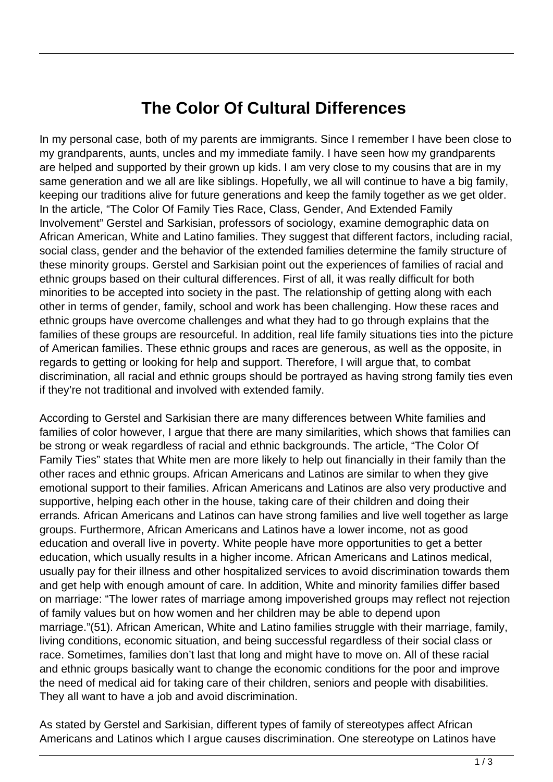## **The Color Of Cultural Differences**

In my personal case, both of my parents are immigrants. Since I remember I have been close to my grandparents, aunts, uncles and my immediate family. I have seen how my grandparents are helped and supported by their grown up kids. I am very close to my cousins that are in my same generation and we all are like siblings. Hopefully, we all will continue to have a big family, keeping our traditions alive for future generations and keep the family together as we get older. In the article, "The Color Of Family Ties Race, Class, Gender, And Extended Family Involvement" Gerstel and Sarkisian, professors of sociology, examine demographic data on African American, White and Latino families. They suggest that different factors, including racial, social class, gender and the behavior of the extended families determine the family structure of these minority groups. Gerstel and Sarkisian point out the experiences of families of racial and ethnic groups based on their cultural differences. First of all, it was really difficult for both minorities to be accepted into society in the past. The relationship of getting along with each other in terms of gender, family, school and work has been challenging. How these races and ethnic groups have overcome challenges and what they had to go through explains that the families of these groups are resourceful. In addition, real life family situations ties into the picture of American families. These ethnic groups and races are generous, as well as the opposite, in regards to getting or looking for help and support. Therefore, I will argue that, to combat discrimination, all racial and ethnic groups should be portrayed as having strong family ties even if they're not traditional and involved with extended family.

According to Gerstel and Sarkisian there are many differences between White families and families of color however, I argue that there are many similarities, which shows that families can be strong or weak regardless of racial and ethnic backgrounds. The article, "The Color Of Family Ties" states that White men are more likely to help out financially in their family than the other races and ethnic groups. African Americans and Latinos are similar to when they give emotional support to their families. African Americans and Latinos are also very productive and supportive, helping each other in the house, taking care of their children and doing their errands. African Americans and Latinos can have strong families and live well together as large groups. Furthermore, African Americans and Latinos have a lower income, not as good education and overall live in poverty. White people have more opportunities to get a better education, which usually results in a higher income. African Americans and Latinos medical, usually pay for their illness and other hospitalized services to avoid discrimination towards them and get help with enough amount of care. In addition, White and minority families differ based on marriage: "The lower rates of marriage among impoverished groups may reflect not rejection of family values but on how women and her children may be able to depend upon marriage."(51). African American, White and Latino families struggle with their marriage, family, living conditions, economic situation, and being successful regardless of their social class or race. Sometimes, families don't last that long and might have to move on. All of these racial and ethnic groups basically want to change the economic conditions for the poor and improve the need of medical aid for taking care of their children, seniors and people with disabilities. They all want to have a job and avoid discrimination.

As stated by Gerstel and Sarkisian, different types of family of stereotypes affect African Americans and Latinos which I argue causes discrimination. One stereotype on Latinos have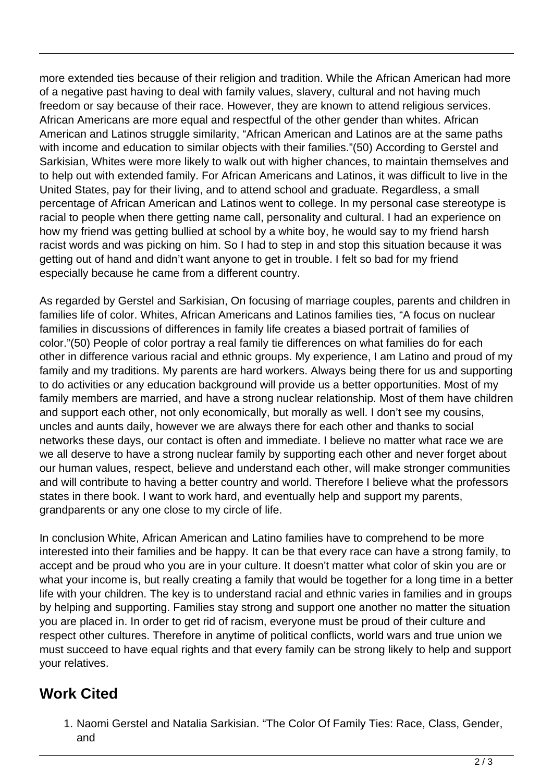more extended ties because of their religion and tradition. While the African American had more of a negative past having to deal with family values, slavery, cultural and not having much freedom or say because of their race. However, they are known to attend religious services. African Americans are more equal and respectful of the other gender than whites. African American and Latinos struggle similarity, "African American and Latinos are at the same paths with income and education to similar objects with their families."(50) According to Gerstel and Sarkisian, Whites were more likely to walk out with higher chances, to maintain themselves and to help out with extended family. For African Americans and Latinos, it was difficult to live in the United States, pay for their living, and to attend school and graduate. Regardless, a small percentage of African American and Latinos went to college. In my personal case stereotype is racial to people when there getting name call, personality and cultural. I had an experience on how my friend was getting bullied at school by a white boy, he would say to my friend harsh racist words and was picking on him. So I had to step in and stop this situation because it was getting out of hand and didn't want anyone to get in trouble. I felt so bad for my friend especially because he came from a different country.

As regarded by Gerstel and Sarkisian, On focusing of marriage couples, parents and children in families life of color. Whites, African Americans and Latinos families ties, "A focus on nuclear families in discussions of differences in family life creates a biased portrait of families of color."(50) People of color portray a real family tie differences on what families do for each other in difference various racial and ethnic groups. My experience, I am Latino and proud of my family and my traditions. My parents are hard workers. Always being there for us and supporting to do activities or any education background will provide us a better opportunities. Most of my family members are married, and have a strong nuclear relationship. Most of them have children and support each other, not only economically, but morally as well. I don't see my cousins, uncles and aunts daily, however we are always there for each other and thanks to social networks these days, our contact is often and immediate. I believe no matter what race we are we all deserve to have a strong nuclear family by supporting each other and never forget about our human values, respect, believe and understand each other, will make stronger communities and will contribute to having a better country and world. Therefore I believe what the professors states in there book. I want to work hard, and eventually help and support my parents, grandparents or any one close to my circle of life.

In conclusion White, African American and Latino families have to comprehend to be more interested into their families and be happy. It can be that every race can have a strong family, to accept and be proud who you are in your culture. It doesn't matter what color of skin you are or what your income is, but really creating a family that would be together for a long time in a better life with your children. The key is to understand racial and ethnic varies in families and in groups by helping and supporting. Families stay strong and support one another no matter the situation you are placed in. In order to get rid of racism, everyone must be proud of their culture and respect other cultures. Therefore in anytime of political conflicts, world wars and true union we must succeed to have equal rights and that every family can be strong likely to help and support your relatives.

## **Work Cited**

1. Naomi Gerstel and Natalia Sarkisian. "The Color Of Family Ties: Race, Class, Gender, and